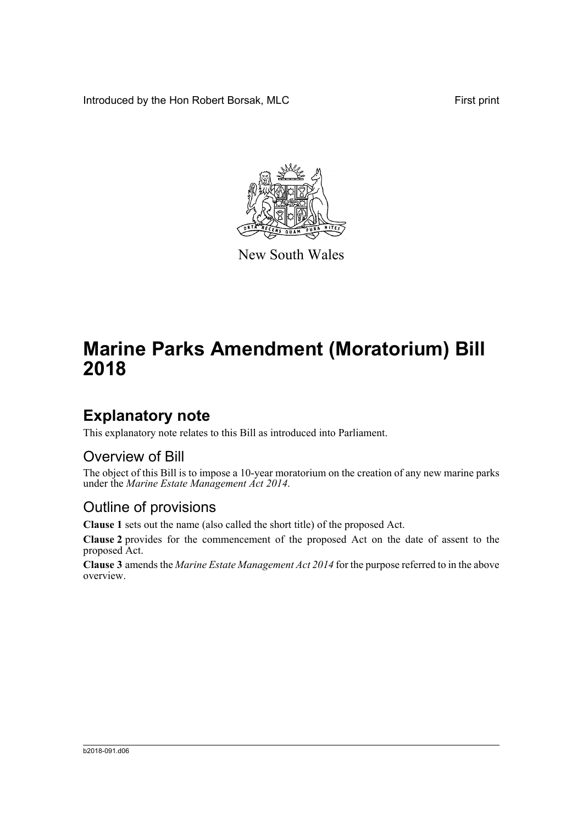Introduced by the Hon Robert Borsak, MLC First print



New South Wales

# **Marine Parks Amendment (Moratorium) Bill 2018**

### **Explanatory note**

This explanatory note relates to this Bill as introduced into Parliament.

#### Overview of Bill

The object of this Bill is to impose a 10-year moratorium on the creation of any new marine parks under the *Marine Estate Management Act 2014*.

#### Outline of provisions

**Clause 1** sets out the name (also called the short title) of the proposed Act.

**Clause 2** provides for the commencement of the proposed Act on the date of assent to the proposed Act.

**Clause 3** amends the *Marine Estate Management Act 2014* for the purpose referred to in the above overview.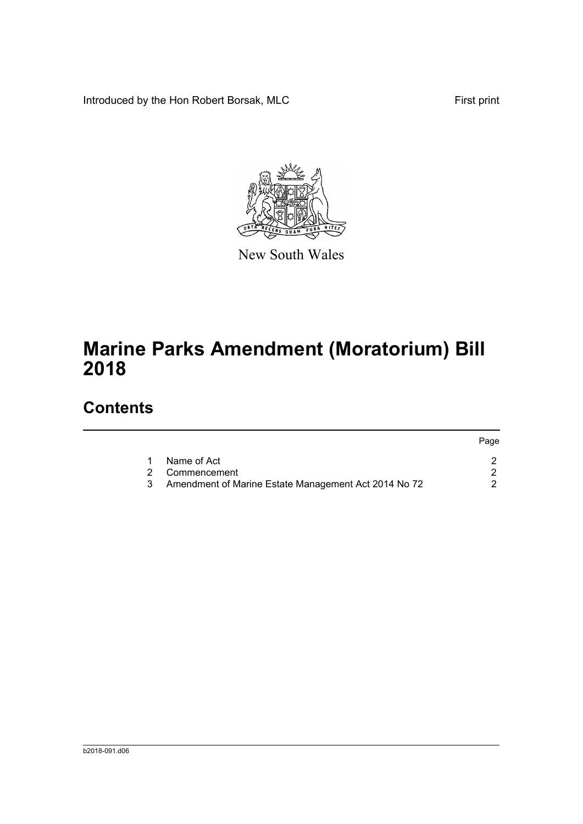Introduced by the Hon Robert Borsak, MLC First print



New South Wales

# **Marine Parks Amendment (Moratorium) Bill 2018**

## **Contents**

|              |                                                      | Page |
|--------------|------------------------------------------------------|------|
| $\mathbf{1}$ | Name of Act                                          |      |
|              | 2 Commencement                                       |      |
| 3.           | Amendment of Marine Estate Management Act 2014 No 72 |      |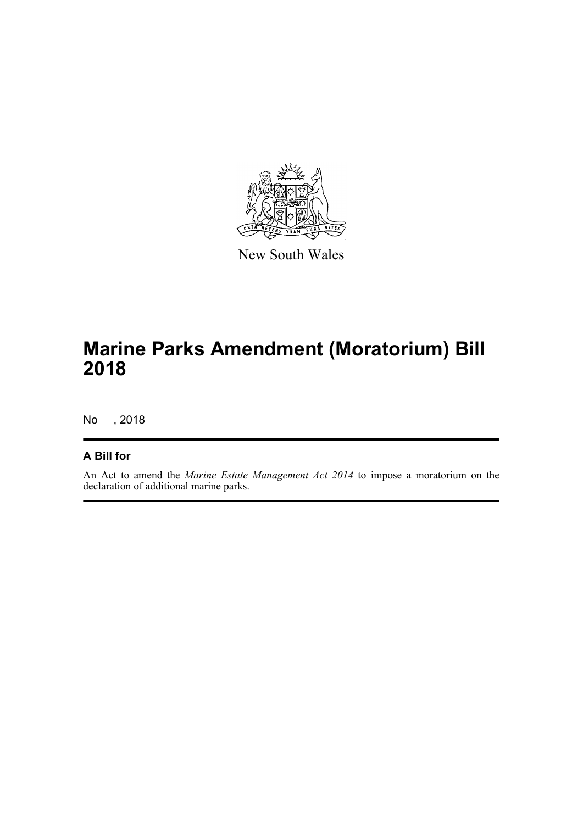

New South Wales

# **Marine Parks Amendment (Moratorium) Bill 2018**

No , 2018

#### **A Bill for**

An Act to amend the *Marine Estate Management Act 2014* to impose a moratorium on the declaration of additional marine parks.